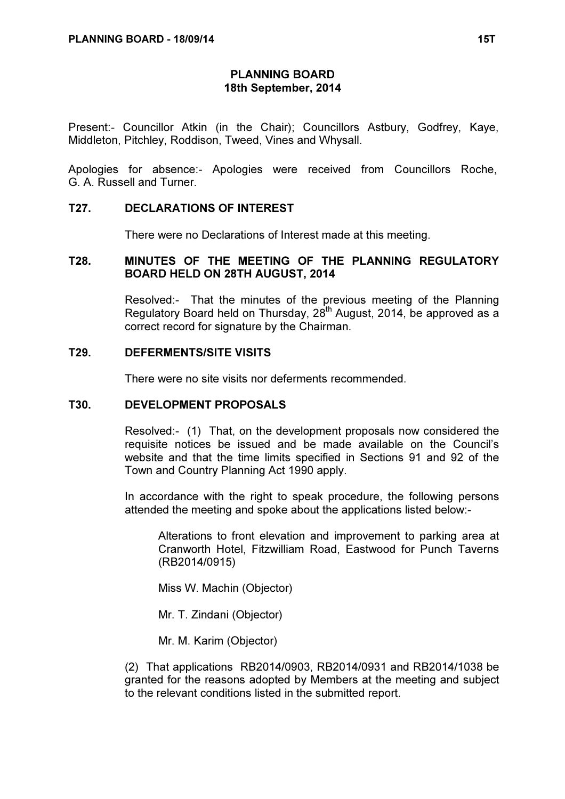### PLANNING BOARD 18th September, 2014

Present:- Councillor Atkin (in the Chair); Councillors Astbury, Godfrey, Kaye, Middleton, Pitchley, Roddison, Tweed, Vines and Whysall.

Apologies for absence:- Apologies were received from Councillors Roche, G. A. Russell and Turner.

### T27. DECLARATIONS OF INTEREST

There were no Declarations of Interest made at this meeting.

### T28. MINUTES OF THE MEETING OF THE PLANNING REGULATORY BOARD HELD ON 28TH AUGUST, 2014

 Resolved:- That the minutes of the previous meeting of the Planning Regulatory Board held on Thursday,  $28<sup>th</sup>$  August, 2014, be approved as a correct record for signature by the Chairman.

### T29. DEFERMENTS/SITE VISITS

There were no site visits nor deferments recommended.

#### T30. DEVELOPMENT PROPOSALS

 Resolved:- (1) That, on the development proposals now considered the requisite notices be issued and be made available on the Council's website and that the time limits specified in Sections 91 and 92 of the Town and Country Planning Act 1990 apply.

In accordance with the right to speak procedure, the following persons attended the meeting and spoke about the applications listed below:-

 Alterations to front elevation and improvement to parking area at Cranworth Hotel, Fitzwilliam Road, Eastwood for Punch Taverns (RB2014/0915)

Miss W. Machin (Objector)

Mr. T. Zindani (Objector)

Mr. M. Karim (Objector)

(2) That applications RB2014/0903, RB2014/0931 and RB2014/1038 be granted for the reasons adopted by Members at the meeting and subject to the relevant conditions listed in the submitted report.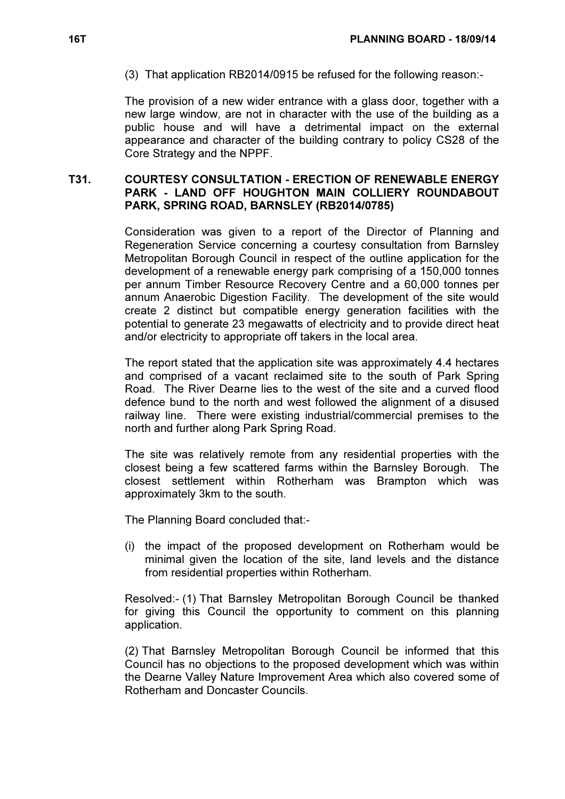(3) That application RB2014/0915 be refused for the following reason:-

The provision of a new wider entrance with a glass door, together with a new large window, are not in character with the use of the building as a public house and will have a detrimental impact on the external appearance and character of the building contrary to policy CS28 of the Core Strategy and the NPPF.

## T31. COURTESY CONSULTATION - ERECTION OF RENEWABLE ENERGY PARK - LAND OFF HOUGHTON MAIN COLLIERY ROUNDABOUT PARK, SPRING ROAD, BARNSLEY (RB2014/0785)

 Consideration was given to a report of the Director of Planning and Regeneration Service concerning a courtesy consultation from Barnsley Metropolitan Borough Council in respect of the outline application for the development of a renewable energy park comprising of a 150,000 tonnes per annum Timber Resource Recovery Centre and a 60,000 tonnes per annum Anaerobic Digestion Facility. The development of the site would create 2 distinct but compatible energy generation facilities with the potential to generate 23 megawatts of electricity and to provide direct heat and/or electricity to appropriate off takers in the local area.

The report stated that the application site was approximately 4.4 hectares and comprised of a vacant reclaimed site to the south of Park Spring Road. The River Dearne lies to the west of the site and a curved flood defence bund to the north and west followed the alignment of a disused railway line. There were existing industrial/commercial premises to the north and further along Park Spring Road.

The site was relatively remote from any residential properties with the closest being a few scattered farms within the Barnsley Borough. The closest settlement within Rotherham was Brampton which was approximately 3km to the south.

The Planning Board concluded that:-

(i) the impact of the proposed development on Rotherham would be minimal given the location of the site, land levels and the distance from residential properties within Rotherham.

Resolved:- (1) That Barnsley Metropolitan Borough Council be thanked for giving this Council the opportunity to comment on this planning application.

(2) That Barnsley Metropolitan Borough Council be informed that this Council has no objections to the proposed development which was within the Dearne Valley Nature Improvement Area which also covered some of Rotherham and Doncaster Councils.